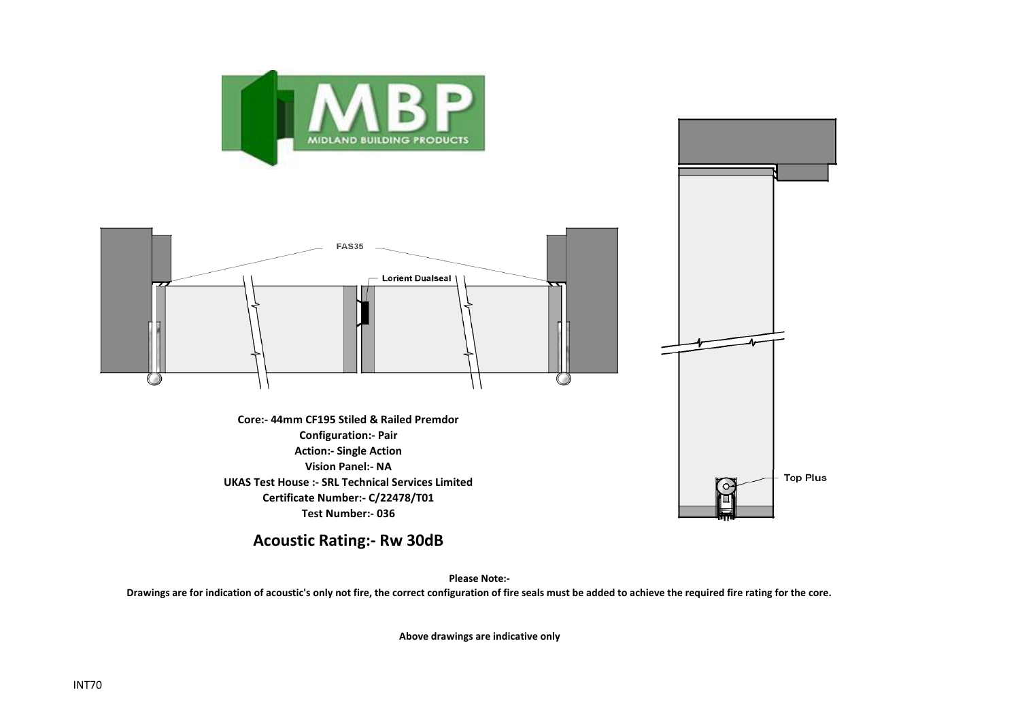



**Vision Panel:- NA UKAS Test House :- SRL Technical Services Limited Certificate Number:- C/22478/T01 Test Number:- 036**

**Acoustic Rating:- Rw 30dB**

**Please Note:-** 

Top Plus

**Drawings are for indication of acoustic's only not fire, the correct configuration of fire seals must be added to achieve the required fire rating for the core.**

**Above drawings are indicative only**